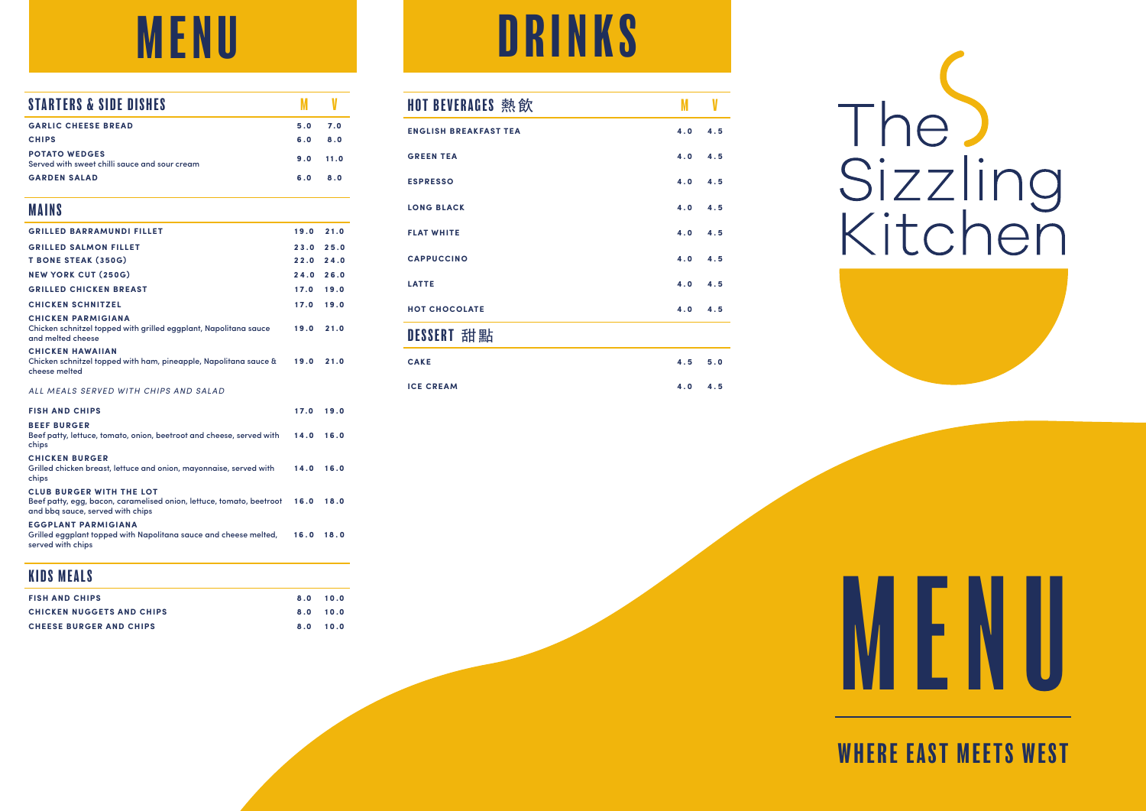| STARTERS & SIDE DISHES                                                                                                                      | M    | V    |
|---------------------------------------------------------------------------------------------------------------------------------------------|------|------|
| <b>GARLIC CHEESE BREAD</b>                                                                                                                  | 5.0  | 7.0  |
| <b>CHIPS</b>                                                                                                                                | 6.0  | 8.0  |
| <b>POTATO WEDGES</b><br>Served with sweet chilli sauce and sour cream                                                                       | 9.0  | 11.0 |
| <b>GARDEN SALAD</b>                                                                                                                         | 6.0  | 8.0  |
| <b>MAINS</b>                                                                                                                                |      |      |
| <b>GRILLED BARRAMUNDI FILLET</b>                                                                                                            | 19.0 | 21.0 |
| <b>GRILLED SALMON FILLET</b>                                                                                                                | 23.0 | 25.0 |
| <b>T BONE STEAK (350G)</b>                                                                                                                  | 22.0 | 24.0 |
| <b>NEW YORK CUT (250G)</b>                                                                                                                  | 24.0 | 26.0 |
| <b>GRILLED CHICKEN BREAST</b>                                                                                                               | 17.0 | 19.0 |
| <b>CHICKEN SCHNITZEL</b>                                                                                                                    | 17.0 | 19.0 |
| <b>CHICKEN PARMIGIANA</b><br>Chicken schnitzel topped with grilled eggplant, Napolitana sauce<br>and melted cheese                          | 19.0 | 21.0 |
| <b>CHICKEN HAWAIIAN</b><br>Chicken schnitzel topped with ham, pineapple, Napolitana sauce &<br>cheese melted                                | 19.0 | 21.0 |
| ALL MEALS SERVED WITH CHIPS AND SALAD                                                                                                       |      |      |
| <b>FISH AND CHIPS</b>                                                                                                                       | 17.0 | 19.0 |
| <b>BEEF BURGER</b><br>Beef patty, lettuce, tomato, onion, beetroot and cheese, served with<br>chips                                         | 14.0 | 16.0 |
| <b>CHICKEN BURGER</b><br>Grilled chicken breast, lettuce and onion, mayonnaise, served with<br>chips                                        | 14.0 | 16.0 |
| <b>CLUB BURGER WITH THE LOT</b><br>Beef patty, egg, bacon, caramelised onion, lettuce, tomato, beetroot<br>and bbg sauce, served with chips | 16.0 | 18.0 |
| <b>EGGPLANT PARMIGIANA</b><br>Grilled eggplant topped with Napolitana sauce and cheese melted,                                              | 16.0 | 18.0 |

served with chips

#### KIDS MEALS

| <b>FISH AND CHIPS</b>            | 8.0 10.0 |  |
|----------------------------------|----------|--|
| <b>CHICKEN NUGGETS AND CHIPS</b> | 8.0 10.0 |  |
| <b>CHEESE BURGER AND CHIPS</b>   | 8.0 10.0 |  |

### MENU DRINKS

| HOT BEVERAGES 熱飲             | M   |         |
|------------------------------|-----|---------|
| <b>ENGLISH BREAKFAST TEA</b> | 4.0 | 4.5     |
| <b>GREEN TEA</b>             |     | 4.0 4.5 |
| <b>ESPRESSO</b>              | 4.0 | 4.5     |
| <b>LONG BLACK</b>            | 4.0 | 4.5     |
| <b>FLAT WHITE</b>            |     | 4.0 4.5 |
| <b>CAPPUCCINO</b>            | 4.0 | 4.5     |
| LATTE                        | 4.0 | 4.5     |
| <b>HOT CHOCOLATE</b>         | 4.0 | 4.5     |
| DESSERT 甜點                   |     |         |
|                              |     |         |

#### **CAKE 4.5 5.0 ICE CREAM 4.0 4.5**

# The<br>Sizzling<br>Kitchen



## MENU

#### WHERE EAST MEETS WEST